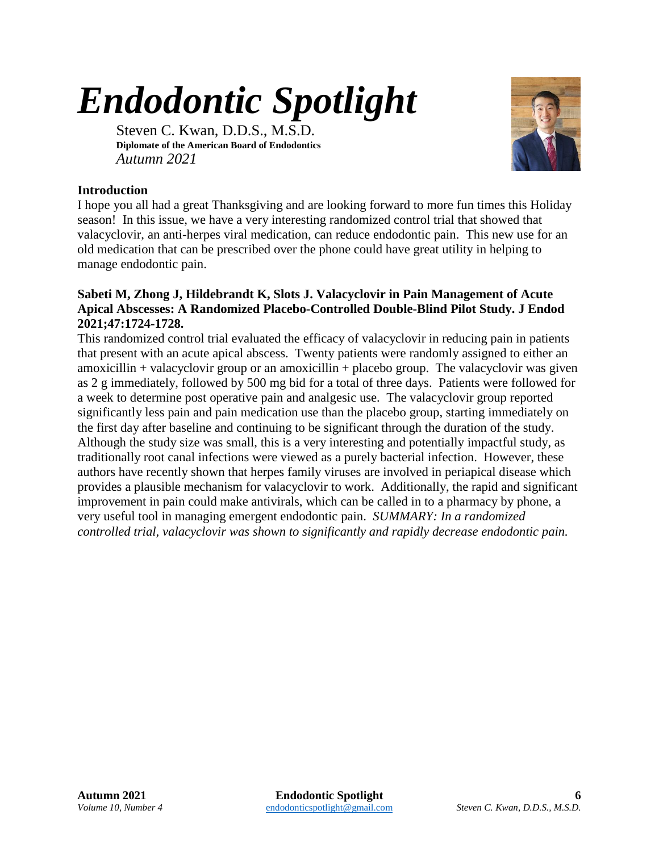## *Endodontic Spotlight*

Steven C. Kwan, D.D.S., M.S.D. **Diplomate of the American Board of Endodontics** *Autumn 2021*



## **Introduction**

I hope you all had a great Thanksgiving and are looking forward to more fun times this Holiday season! In this issue, we have a very interesting randomized control trial that showed that valacyclovir, an anti-herpes viral medication, can reduce endodontic pain. This new use for an old medication that can be prescribed over the phone could have great utility in helping to manage endodontic pain.

## **Sabeti M, Zhong J, Hildebrandt K, Slots J. Valacyclovir in Pain Management of Acute Apical Abscesses: A Randomized Placebo-Controlled Double-Blind Pilot Study. J Endod 2021;47:1724-1728.**

This randomized control trial evaluated the efficacy of valacyclovir in reducing pain in patients that present with an acute apical abscess. Twenty patients were randomly assigned to either an amoxicillin + valacyclovir group or an amoxicillin + placebo group. The valacyclovir was given as 2 g immediately, followed by 500 mg bid for a total of three days. Patients were followed for a week to determine post operative pain and analgesic use. The valacyclovir group reported significantly less pain and pain medication use than the placebo group, starting immediately on the first day after baseline and continuing to be significant through the duration of the study. Although the study size was small, this is a very interesting and potentially impactful study, as traditionally root canal infections were viewed as a purely bacterial infection. However, these authors have recently shown that herpes family viruses are involved in periapical disease which provides a plausible mechanism for valacyclovir to work. Additionally, the rapid and significant improvement in pain could make antivirals, which can be called in to a pharmacy by phone, a very useful tool in managing emergent endodontic pain. *SUMMARY: In a randomized controlled trial, valacyclovir was shown to significantly and rapidly decrease endodontic pain.*